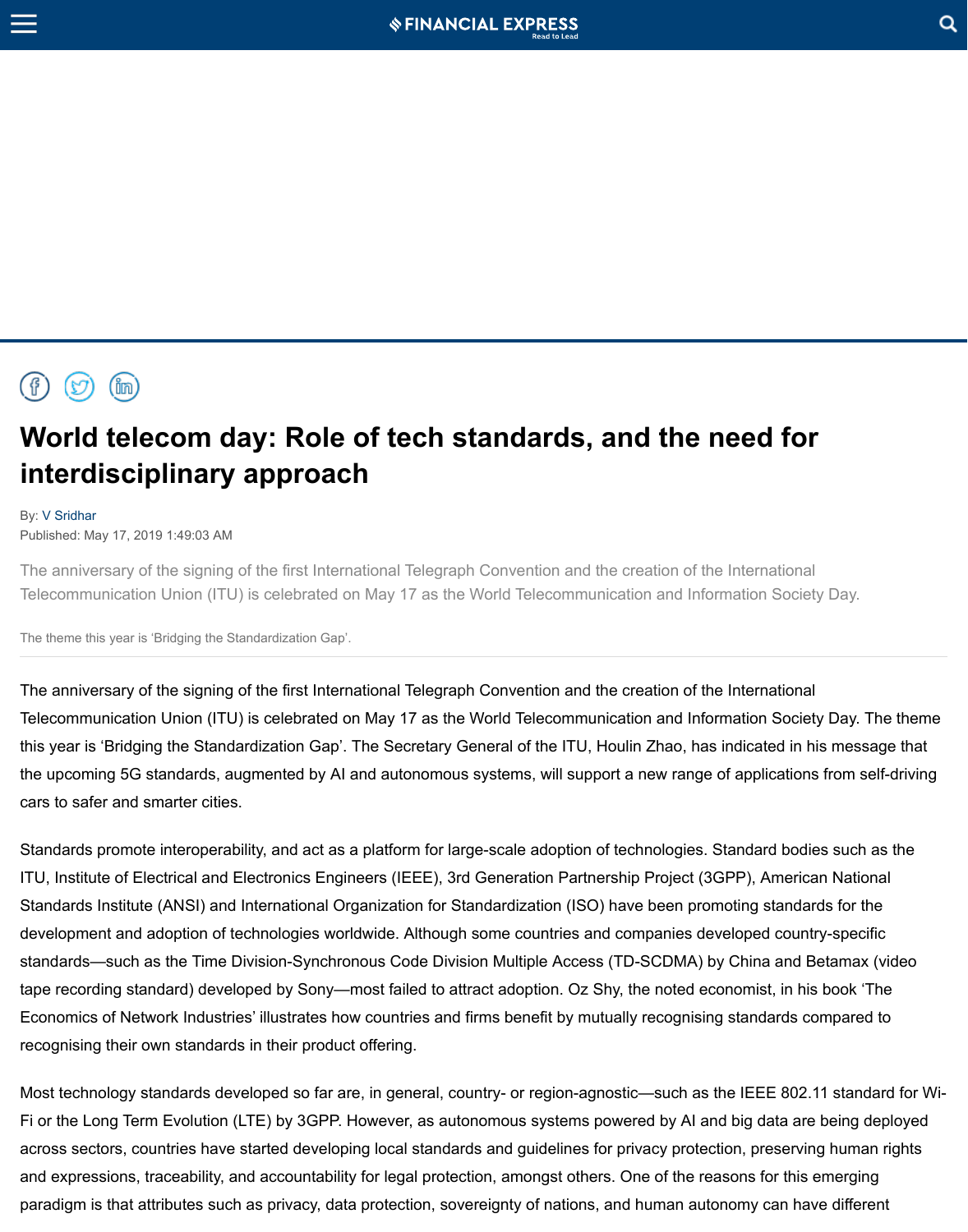## **World telecom day: Role of tech standards, and the need for [in](javascript:void(0);)terdisciplinary approach**

## By: V Sridhar

Published: May 17, 2019 1:49:03 AM

The anniversary of the signing of the first International Telegraph Convention and the Telecommunication Union (ITU) is celebrated on May 17 as the World Telecommuni

The theme this year is 'Bridging the Standardization Gap'.

The anniversary of the signing of the first International Telegraph Convention and the Telecommunication Union (ITU) is celebrated on May 17 as the World Telecommuni this year is 'Bridging the Standardization Gap'. The Secretary General of the ITU, Houlin 2016 the upcoming 5G standards, augmented by AI and autonomous systems, will support a new range of applications from  $\alpha$ cars to safer and smarter cities.

[Stan](https://www.facebook.com/sharer.php?u=https://www.financialexpress.com/opinion/world-telecom-day-role-of-tech-standards-and-the-need-for-interdisciplinary-approach/1580649/)d[ards](https://twitter.com/intent/tweet?url=https://www.financialexpress.com/opinion/world-telecom-day-role-of-tech-standards-and-the-need-for-interdisciplinary-approach/1580649/&via=FinancialXpress&text=World+telecom+day%3A+Role+of+tech+standards%2C+and+the+need+for+interdisciplinary+approach) p[romo](https://www.linkedin.com/shareArticle?url=https%3A%2F%2Fwww.financialexpress.com%2Fopinion%2Fworld-telecom-day-role-of-tech-standards-and-the-need-for-interdisciplinary-approach%2F1580649%2F)te interoperability, and act as a platform for large-scale adoption of ITU, Institute of Electrical and Electronics Engineers (IEEE), 3rd Generation Partner Standards Institute (ANSI) and International Organization for Standardization (ISO) development and adoption of technologies worldwide. Although some countries and sta[ndards—](https://www.financialexpress.com/author/v-sridhar/)such as the Time Division-Synchronous Code Division Multiple Access tape recording standard) developed by Sony—most failed to attract adoption. Oz Sh Economics of Network Industries' illustrates how countries and firms benefit by mutually reconnising standards compared to mutually reconomics of Network Industries' illustrates how countries and firms benefit by mutually recognising their own standards in their product offering.

Most technology standards developed so far are, in general, country- or region-agnostic Fi or the Long Term Evolution (LTE) by 3GPP. However, as autonomous systems power across sectors, countries have started developing local standards and guidelines for and expressions, traceability, and accountability for legal protection, amongst others. paradigm is that attributes such as privacy, data protection, sovereignty of nations, a